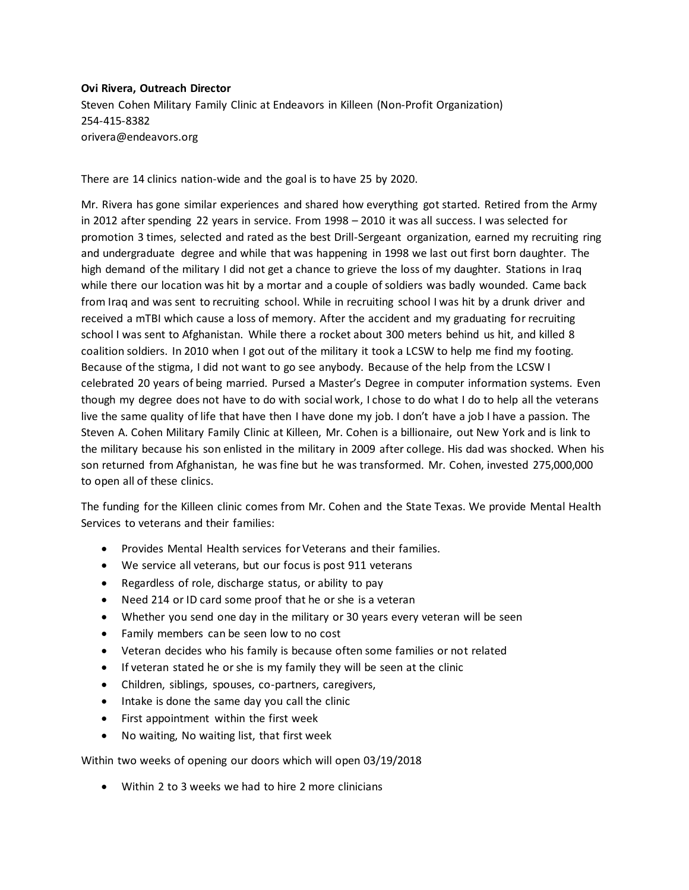## **Ovi Rivera, Outreach Director**

Steven Cohen Military Family Clinic at Endeavors in Killeen (Non-Profit Organization) 254-415-8382 orivera@endeavors.org

There are 14 clinics nation-wide and the goal is to have 25 by 2020.

Mr. Rivera has gone similar experiences and shared how everything got started. Retired from the Army in 2012 after spending 22 years in service. From 1998 – 2010 it was all success. I was selected for promotion 3 times, selected and rated as the best Drill-Sergeant organization, earned my recruiting ring and undergraduate degree and while that was happening in 1998 we last out first born daughter. The high demand of the military I did not get a chance to grieve the loss of my daughter. Stations in Iraq while there our location was hit by a mortar and a couple of soldiers was badly wounded. Came back from Iraq and was sent to recruiting school. While in recruiting school I was hit by a drunk driver and received a mTBI which cause a loss of memory. After the accident and my graduating for recruiting school I was sent to Afghanistan. While there a rocket about 300 meters behind us hit, and killed 8 coalition soldiers. In 2010 when I got out of the military it took a LCSW to help me find my footing. Because of the stigma, I did not want to go see anybody. Because of the help from the LCSW I celebrated 20 years of being married. Pursed a Master's Degree in computer information systems. Even though my degree does not have to do with social work, I chose to do what I do to help all the veterans live the same quality of life that have then I have done my job. I don't have a job I have a passion. The Steven A. Cohen Military Family Clinic at Killeen, Mr. Cohen is a billionaire, out New York and is link to the military because his son enlisted in the military in 2009 after college. His dad was shocked. When his son returned from Afghanistan, he was fine but he was transformed. Mr. Cohen, invested 275,000,000 to open all of these clinics.

The funding for the Killeen clinic comes from Mr. Cohen and the State Texas. We provide Mental Health Services to veterans and their families:

- Provides Mental Health services for Veterans and their families.
- We service all veterans, but our focus is post 911 veterans
- Regardless of role, discharge status, or ability to pay
- Need 214 or ID card some proof that he or she is a veteran
- Whether you send one day in the military or 30 years every veteran will be seen
- Family members can be seen low to no cost
- Veteran decides who his family is because often some families or not related
- If veteran stated he or she is my family they will be seen at the clinic
- Children, siblings, spouses, co-partners, caregivers,
- Intake is done the same day you call the clinic
- First appointment within the first week
- No waiting, No waiting list, that first week

Within two weeks of opening our doors which will open 03/19/2018

• Within 2 to 3 weeks we had to hire 2 more clinicians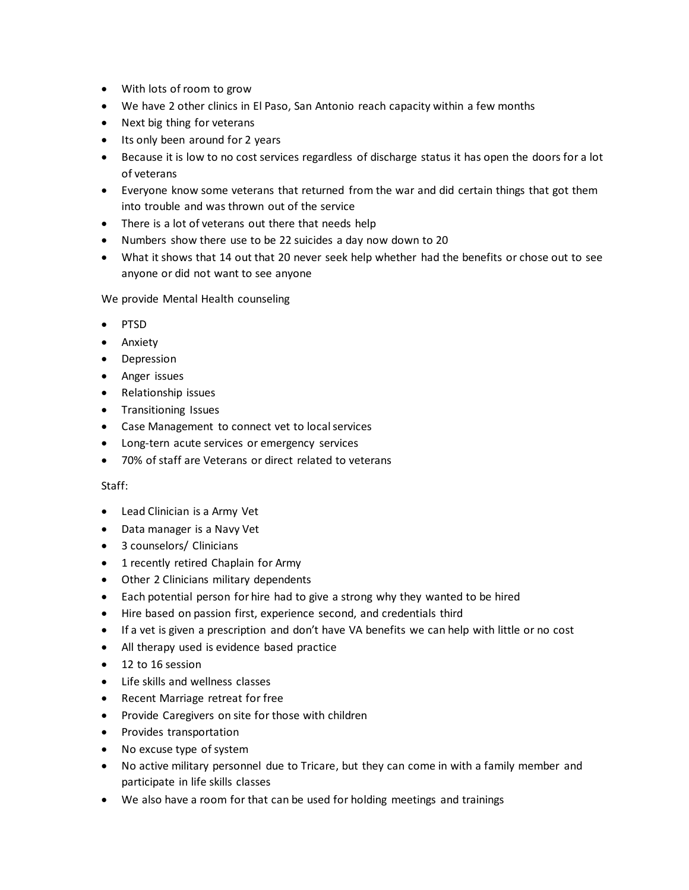- With lots of room to grow
- We have 2 other clinics in El Paso, San Antonio reach capacity within a few months
- Next big thing for veterans
- Its only been around for 2 years
- Because it is low to no cost services regardless of discharge status it has open the doors for a lot of veterans
- Everyone know some veterans that returned from the war and did certain things that got them into trouble and was thrown out of the service
- There is a lot of veterans out there that needs help
- Numbers show there use to be 22 suicides a day now down to 20
- What it shows that 14 out that 20 never seek help whether had the benefits or chose out to see anyone or did not want to see anyone

We provide Mental Health counseling

- PTSD
- Anxiety
- Depression
- Anger issues
- Relationship issues
- Transitioning Issues
- Case Management to connect vet to local services
- Long-tern acute services or emergency services
- 70% of staff are Veterans or direct related to veterans

## Staff:

- Lead Clinician is a Army Vet
- Data manager is a Navy Vet
- 3 counselors/ Clinicians
- 1 recently retired Chaplain for Army
- Other 2 Clinicians military dependents
- Each potential person for hire had to give a strong why they wanted to be hired
- Hire based on passion first, experience second, and credentials third
- If a vet is given a prescription and don't have VA benefits we can help with little or no cost
- All therapy used is evidence based practice
- 12 to 16 session
- Life skills and wellness classes
- Recent Marriage retreat for free
- Provide Caregivers on site for those with children
- Provides transportation
- No excuse type of system
- No active military personnel due to Tricare, but they can come in with a family member and participate in life skills classes
- We also have a room for that can be used for holding meetings and trainings